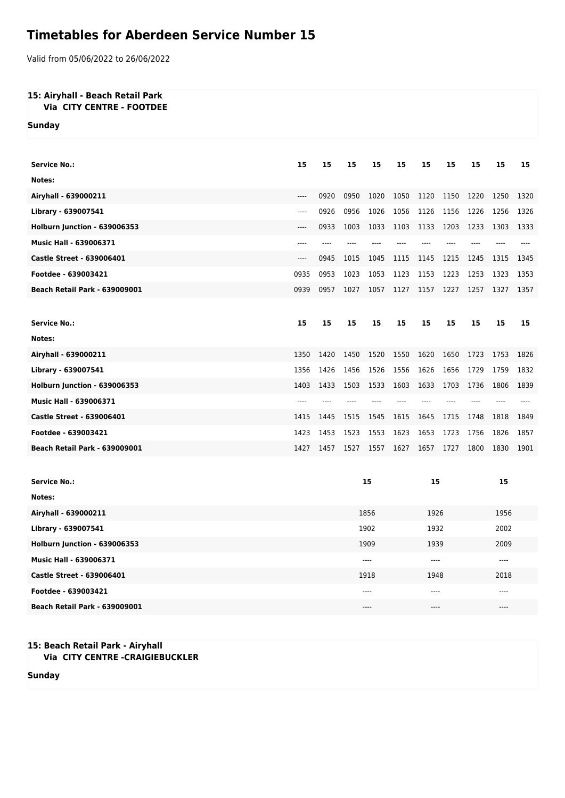## **Timetables for Aberdeen Service Number 15**

Valid from 05/06/2022 to 26/06/2022

## **15: Airyhall - Beach Retail Park Via CITY CENTRE - FOOTDEE**

**Sunday**

| <b>Service No.:</b>                  | 15   | 15    | 15   | 15   | 15   | 15   | 15   | 15   | 15    | 15   |  |
|--------------------------------------|------|-------|------|------|------|------|------|------|-------|------|--|
| Notes:                               |      |       |      |      |      |      |      |      |       |      |  |
| Airyhall - 639000211                 | ---- | 0920  | 0950 | 1020 | 1050 | 1120 | 1150 | 1220 | 1250  | 1320 |  |
| Library - 639007541                  | ---- | 0926  | 0956 | 1026 | 1056 | 1126 | 1156 | 1226 | 1256  | 1326 |  |
| Holburn Junction - 639006353         | ---- | 0933  | 1003 | 1033 | 1103 | 1133 | 1203 | 1233 | 1303  | 1333 |  |
| <b>Music Hall - 639006371</b>        | ---- | $---$ |      |      |      |      |      |      |       |      |  |
| <b>Castle Street - 639006401</b>     | ---- | 0945  | 1015 | 1045 | 1115 | 1145 | 1215 | 1245 | 1315  | 1345 |  |
| Footdee - 639003421                  | 0935 | 0953  | 1023 | 1053 | 1123 | 1153 | 1223 | 1253 | 1323  | 1353 |  |
| <b>Beach Retail Park - 639009001</b> | 0939 | 0957  | 1027 | 1057 | 1127 | 1157 | 1227 | 1257 | 1327  | 1357 |  |
|                                      |      |       |      |      |      |      |      |      |       |      |  |
| <b>Service No.:</b>                  | 15   | 15    | 15   | 15   | 15   | 15   | 15   | 15   | 15    | 15   |  |
| Notes:                               |      |       |      |      |      |      |      |      |       |      |  |
| Airyhall - 639000211                 | 1350 | 1420  | 1450 | 1520 | 1550 | 1620 | 1650 | 1723 | 1753  | 1826 |  |
| Library - 639007541                  | 1356 | 1426  | 1456 | 1526 | 1556 | 1626 | 1656 | 1729 | 1759  | 1832 |  |
| Holburn Junction - 639006353         | 1403 | 1433  | 1503 | 1533 | 1603 | 1633 | 1703 | 1736 | 1806  | 1839 |  |
| <b>Music Hall - 639006371</b>        | ---- | ----  |      |      |      |      |      |      |       |      |  |
| <b>Castle Street - 639006401</b>     | 1415 | 1445  | 1515 | 1545 | 1615 | 1645 | 1715 | 1748 | 1818  | 1849 |  |
| Footdee - 639003421                  | 1423 | 1453  | 1523 | 1553 | 1623 | 1653 | 1723 | 1756 | 1826  | 1857 |  |
| <b>Beach Retail Park - 639009001</b> | 1427 | 1457  | 1527 | 1557 | 1627 | 1657 | 1727 | 1800 | 1830  | 1901 |  |
|                                      |      |       |      |      |      |      |      |      |       |      |  |
| <b>Service No.:</b>                  |      | 15    |      |      |      | 15   |      |      | 15    |      |  |
| Notes:                               |      |       |      |      |      |      |      |      |       |      |  |
| Airyhall - 639000211                 |      |       | 1856 |      |      | 1926 |      | 1956 |       |      |  |
| Library - 639007541                  |      |       | 1902 |      |      | 1932 |      |      | 2002  |      |  |
| Halburn lungtion 620006252           |      |       |      | 1000 |      | 1020 |      |      | anno. |      |  |

| Holburn Junction - 639006353         | 1909  | 1939      | <b>2009</b> |
|--------------------------------------|-------|-----------|-------------|
| <b>Music Hall - 639006371</b>        | $---$ | ----      | $---$       |
| <b>Castle Street - 639006401</b>     | 1918  | 1948      | 2018        |
| Footdee - 639003421                  | $---$ | $- - - -$ | $---$       |
| <b>Beach Retail Park - 639009001</b> | $---$ | ----      | $---$       |

## **15: Beach Retail Park - Airyhall Via CITY CENTRE -CRAIGIEBUCKLER**

**Sunday**